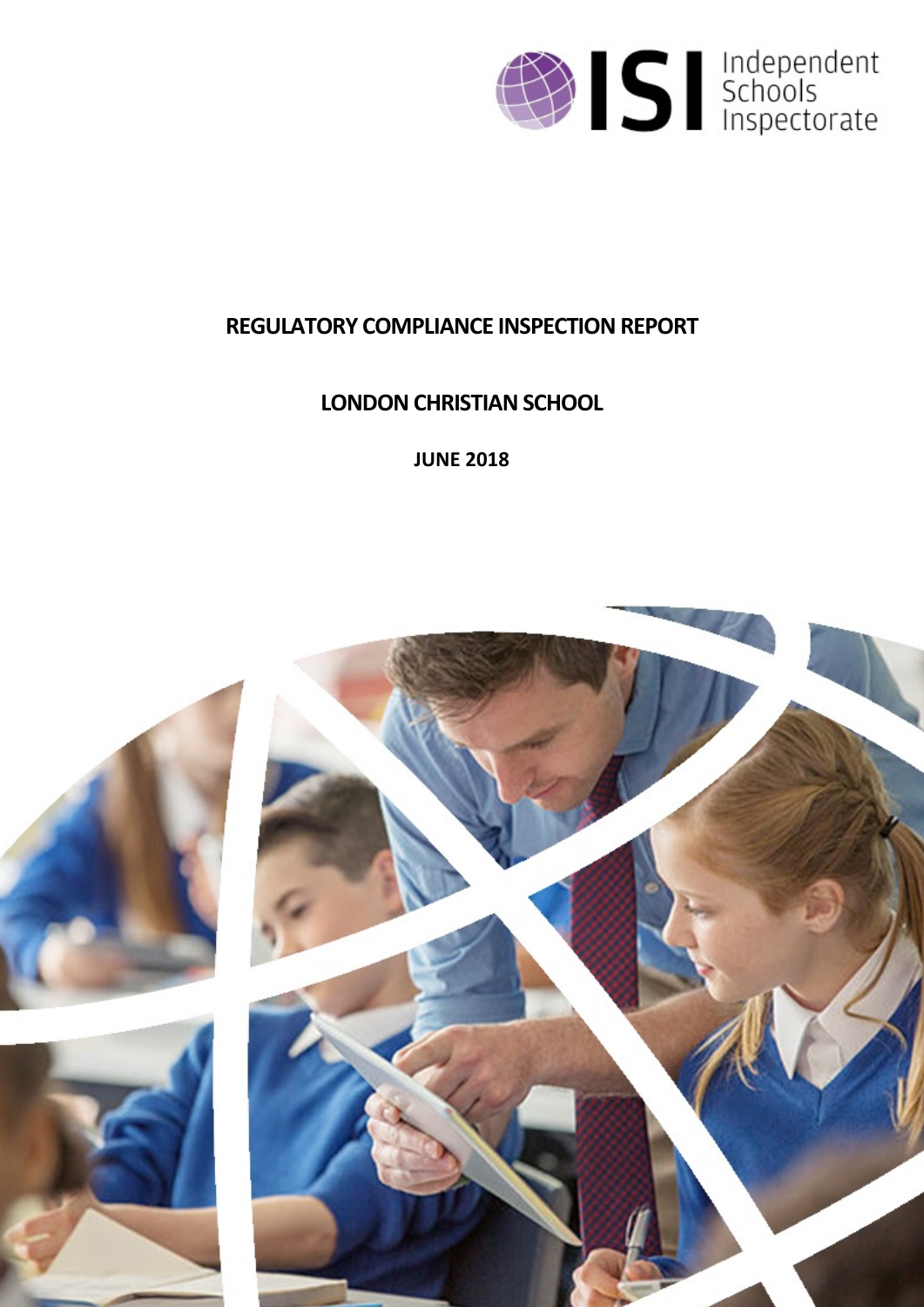

# **REGULATORY COMPLIANCE INSPECTION REPORT**

# **LONDON CHRISTIAN SCHOOL**

**JUNE 2018**

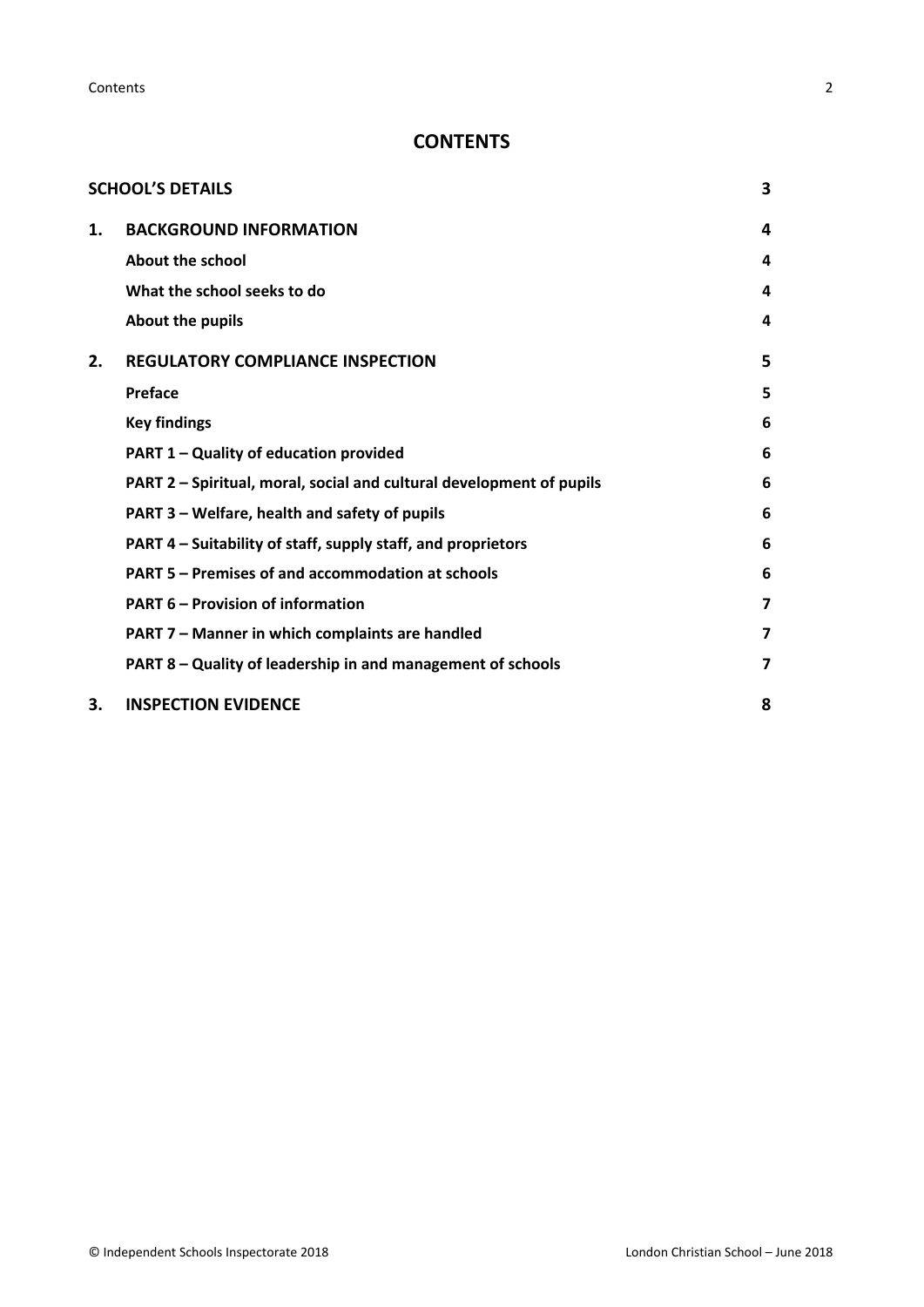**Contents** 2

# **CONTENTS**

|    | <b>SCHOOL'S DETAILS</b>                                              | 3 |
|----|----------------------------------------------------------------------|---|
| 1. | <b>BACKGROUND INFORMATION</b>                                        | 4 |
|    | About the school                                                     | 4 |
|    | What the school seeks to do                                          | 4 |
|    | About the pupils                                                     | 4 |
| 2. | <b>REGULATORY COMPLIANCE INSPECTION</b>                              | 5 |
|    | Preface                                                              | 5 |
|    | <b>Key findings</b>                                                  | 6 |
|    | PART 1 - Quality of education provided                               | 6 |
|    | PART 2 - Spiritual, moral, social and cultural development of pupils | 6 |
|    | PART 3 - Welfare, health and safety of pupils                        | 6 |
|    | PART 4 – Suitability of staff, supply staff, and proprietors         | 6 |
|    | PART 5 - Premises of and accommodation at schools                    | 6 |
|    | <b>PART 6 - Provision of information</b>                             | 7 |
|    | PART 7 - Manner in which complaints are handled                      | 7 |
|    | PART 8 - Quality of leadership in and management of schools          | 7 |
| З. | <b>INSPECTION EVIDENCE</b>                                           | 8 |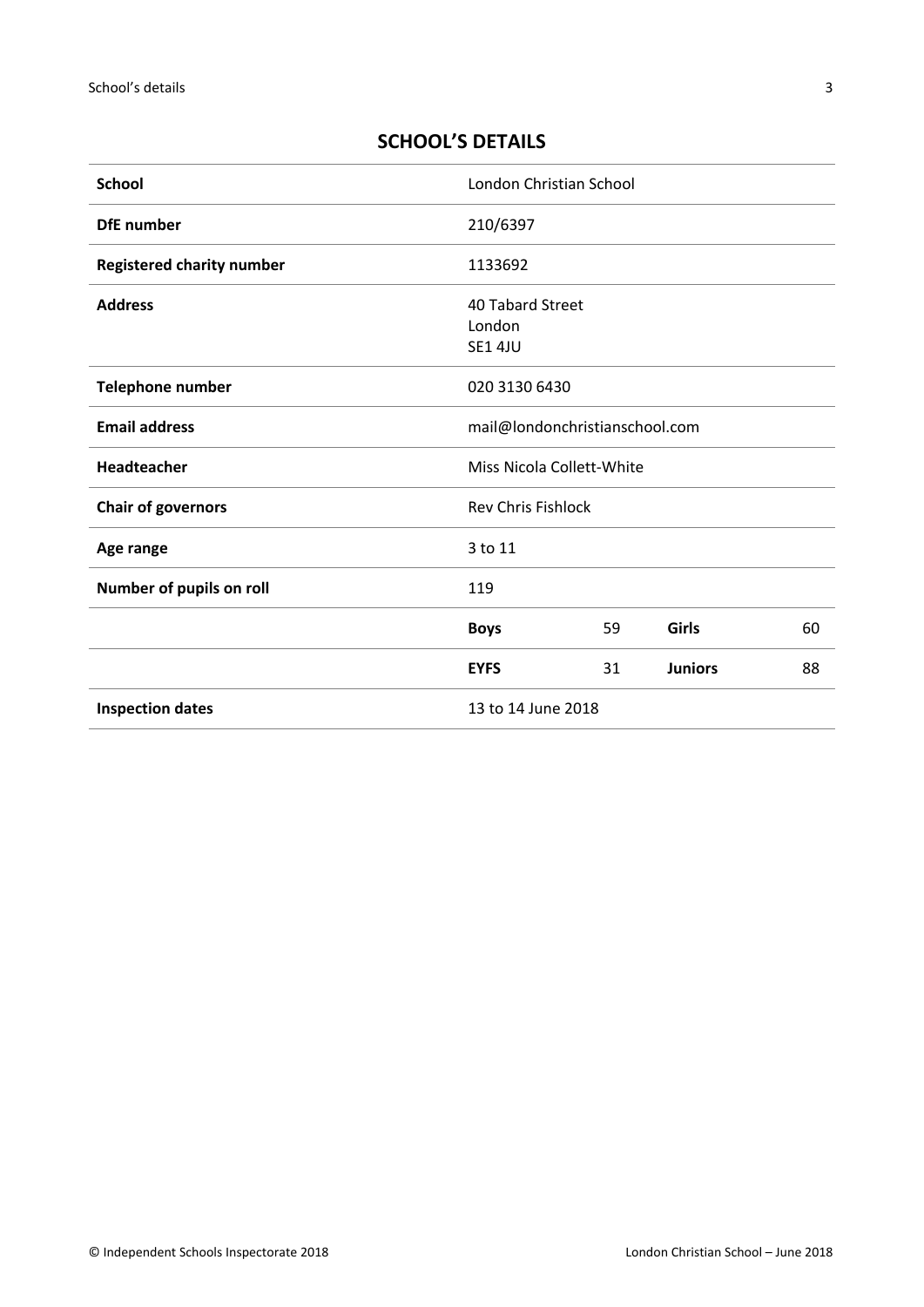# <span id="page-2-0"></span>**SCHOOL'S DETAILS**

| <b>School</b>                    | London Christian School                      |    |                |    |
|----------------------------------|----------------------------------------------|----|----------------|----|
| <b>DfE</b> number                | 210/6397                                     |    |                |    |
| <b>Registered charity number</b> | 1133692                                      |    |                |    |
| <b>Address</b>                   | 40 Tabard Street<br>London<br><b>SE1 4JU</b> |    |                |    |
| Telephone number                 | 020 3130 6430                                |    |                |    |
| <b>Email address</b>             | mail@londonchristianschool.com               |    |                |    |
| Headteacher                      | Miss Nicola Collett-White                    |    |                |    |
| <b>Chair of governors</b>        | <b>Rev Chris Fishlock</b>                    |    |                |    |
| Age range                        | 3 to 11                                      |    |                |    |
| Number of pupils on roll         | 119                                          |    |                |    |
|                                  | <b>Boys</b>                                  | 59 | Girls          | 60 |
|                                  | <b>EYFS</b>                                  | 31 | <b>Juniors</b> | 88 |
| <b>Inspection dates</b>          | 13 to 14 June 2018                           |    |                |    |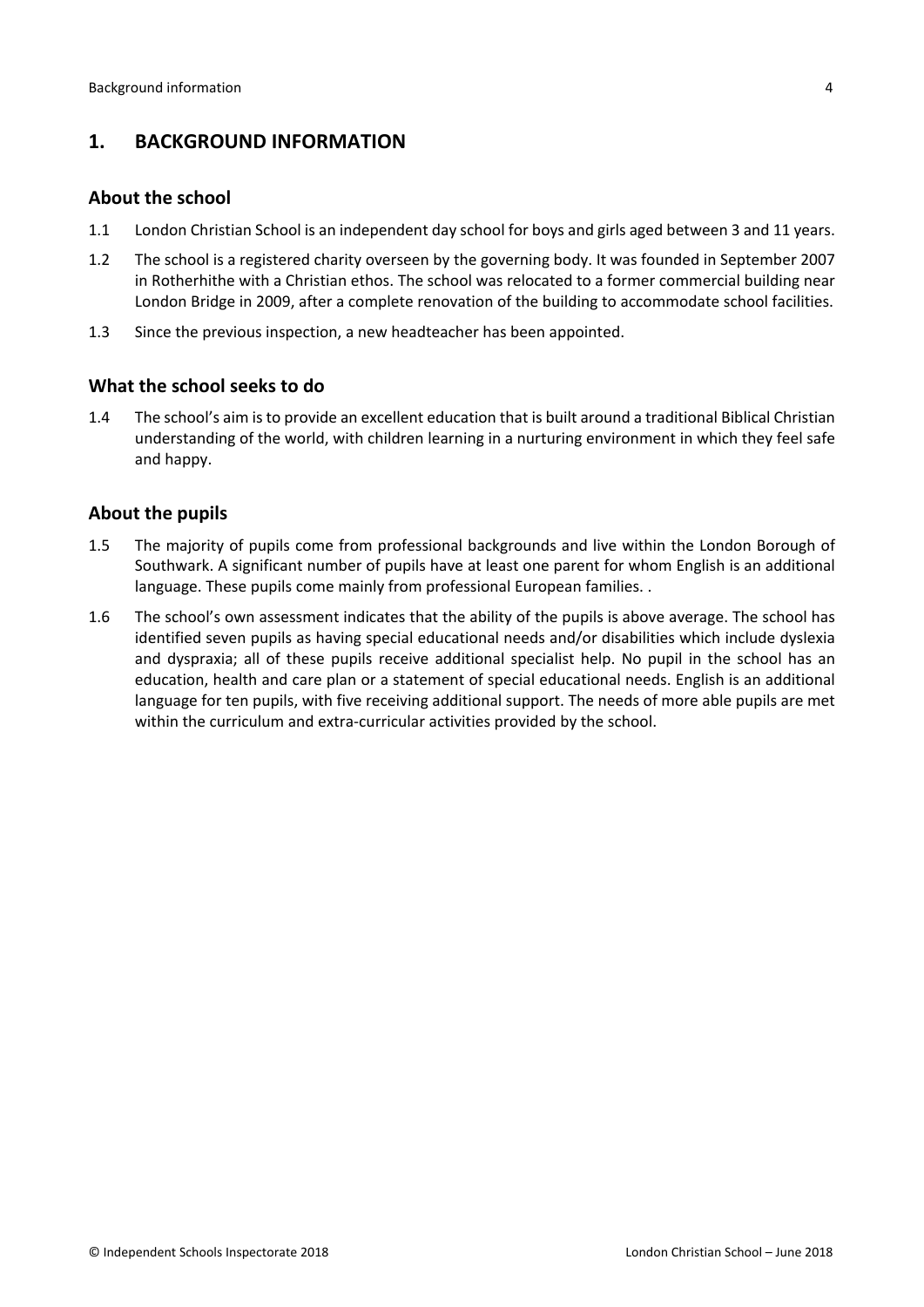# <span id="page-3-0"></span>**1. BACKGROUND INFORMATION**

#### <span id="page-3-1"></span>**About the school**

- 1.1 London Christian School is an independent day school for boys and girls aged between 3 and 11 years.
- 1.2 The school is a registered charity overseen by the governing body. It was founded in September 2007 in Rotherhithe with a Christian ethos. The school was relocated to a former commercial building near London Bridge in 2009, after a complete renovation of the building to accommodate school facilities.
- 1.3 Since the previous inspection, a new headteacher has been appointed.

#### <span id="page-3-2"></span>**What the school seeks to do**

1.4 The school's aim is to provide an excellent education that is built around a traditional Biblical Christian understanding of the world, with children learning in a nurturing environment in which they feel safe and happy.

#### <span id="page-3-3"></span>**About the pupils**

- 1.5 The majority of pupils come from professional backgrounds and live within the London Borough of Southwark. A significant number of pupils have at least one parent for whom English is an additional language. These pupils come mainly from professional European families. .
- 1.6 The school's own assessment indicates that the ability of the pupils is above average. The school has identified seven pupils as having special educational needs and/or disabilities which include dyslexia and dyspraxia; all of these pupils receive additional specialist help. No pupil in the school has an education, health and care plan or a statement of special educational needs. English is an additional language for ten pupils, with five receiving additional support. The needs of more able pupils are met within the curriculum and extra-curricular activities provided by the school.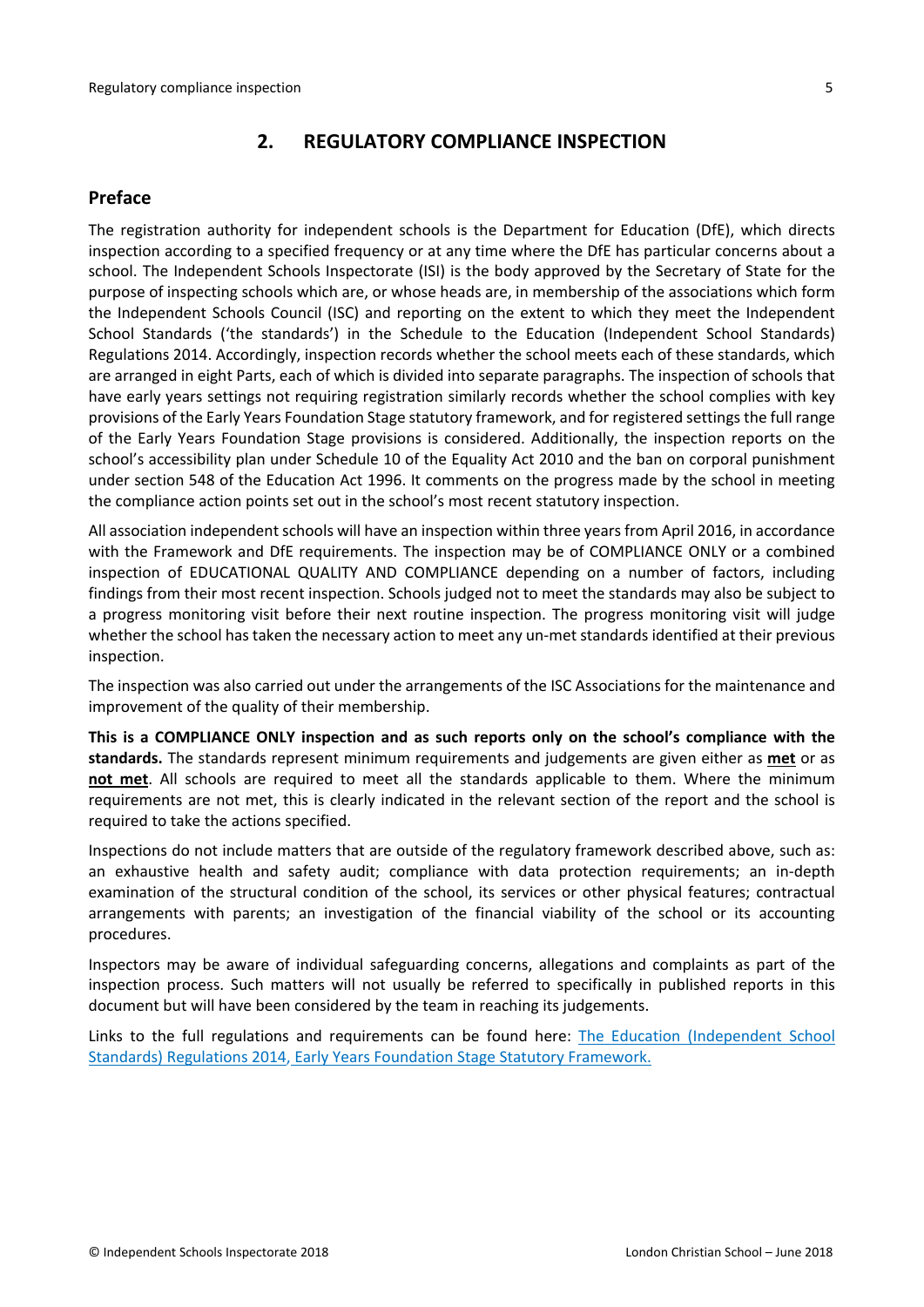# <span id="page-4-0"></span>**2. REGULATORY COMPLIANCE INSPECTION**

# <span id="page-4-1"></span>**Preface**

The registration authority for independent schools is the Department for Education (DfE), which directs inspection according to a specified frequency or at any time where the DfE has particular concerns about a school. The Independent Schools Inspectorate (ISI) is the body approved by the Secretary of State for the purpose of inspecting schools which are, or whose heads are, in membership of the associations which form the Independent Schools Council (ISC) and reporting on the extent to which they meet the Independent School Standards ('the standards') in the Schedule to the Education (Independent School Standards) Regulations 2014. Accordingly, inspection records whether the school meets each of these standards, which are arranged in eight Parts, each of which is divided into separate paragraphs. The inspection of schools that have early years settings not requiring registration similarly records whether the school complies with key provisions of the Early Years Foundation Stage statutory framework, and for registered settings the full range of the Early Years Foundation Stage provisions is considered. Additionally, the inspection reports on the school's accessibility plan under Schedule 10 of the Equality Act 2010 and the ban on corporal punishment under section 548 of the Education Act 1996. It comments on the progress made by the school in meeting the compliance action points set out in the school's most recent statutory inspection.

All association independent schools will have an inspection within three yearsfrom April 2016, in accordance with the Framework and DfE requirements. The inspection may be of COMPLIANCE ONLY or a combined inspection of EDUCATIONAL QUALITY AND COMPLIANCE depending on a number of factors, including findings from their most recent inspection. Schools judged not to meet the standards may also be subject to a progress monitoring visit before their next routine inspection. The progress monitoring visit will judge whether the school has taken the necessary action to meet any un-met standards identified at their previous inspection.

The inspection was also carried out under the arrangements of the ISC Associations for the maintenance and improvement of the quality of their membership.

**This is a COMPLIANCE ONLY inspection and as such reports only on the school's compliance with the standards.** The standards represent minimum requirements and judgements are given either as **met** or as **not met**. All schools are required to meet all the standards applicable to them. Where the minimum requirements are not met, this is clearly indicated in the relevant section of the report and the school is required to take the actions specified.

Inspections do not include matters that are outside of the regulatory framework described above, such as: an exhaustive health and safety audit; compliance with data protection requirements; an in-depth examination of the structural condition of the school, its services or other physical features; contractual arrangements with parents; an investigation of the financial viability of the school or its accounting procedures.

Inspectors may be aware of individual safeguarding concerns, allegations and complaints as part of the inspection process. Such matters will not usually be referred to specifically in published reports in this document but will have been considered by the team in reaching its judgements.

Links to the full regulations and requirements can be found here: The Education [\(Independent](http://www.legislation.gov.uk/uksi/2014/3283/contents/made) School Standards) [Regulations](http://www.legislation.gov.uk/uksi/2014/3283/contents/made) 2014, Early Years Foundation Stage Statutory [Framework.](https://www.gov.uk/government/publications/early-years-foundation-stage-framework--2)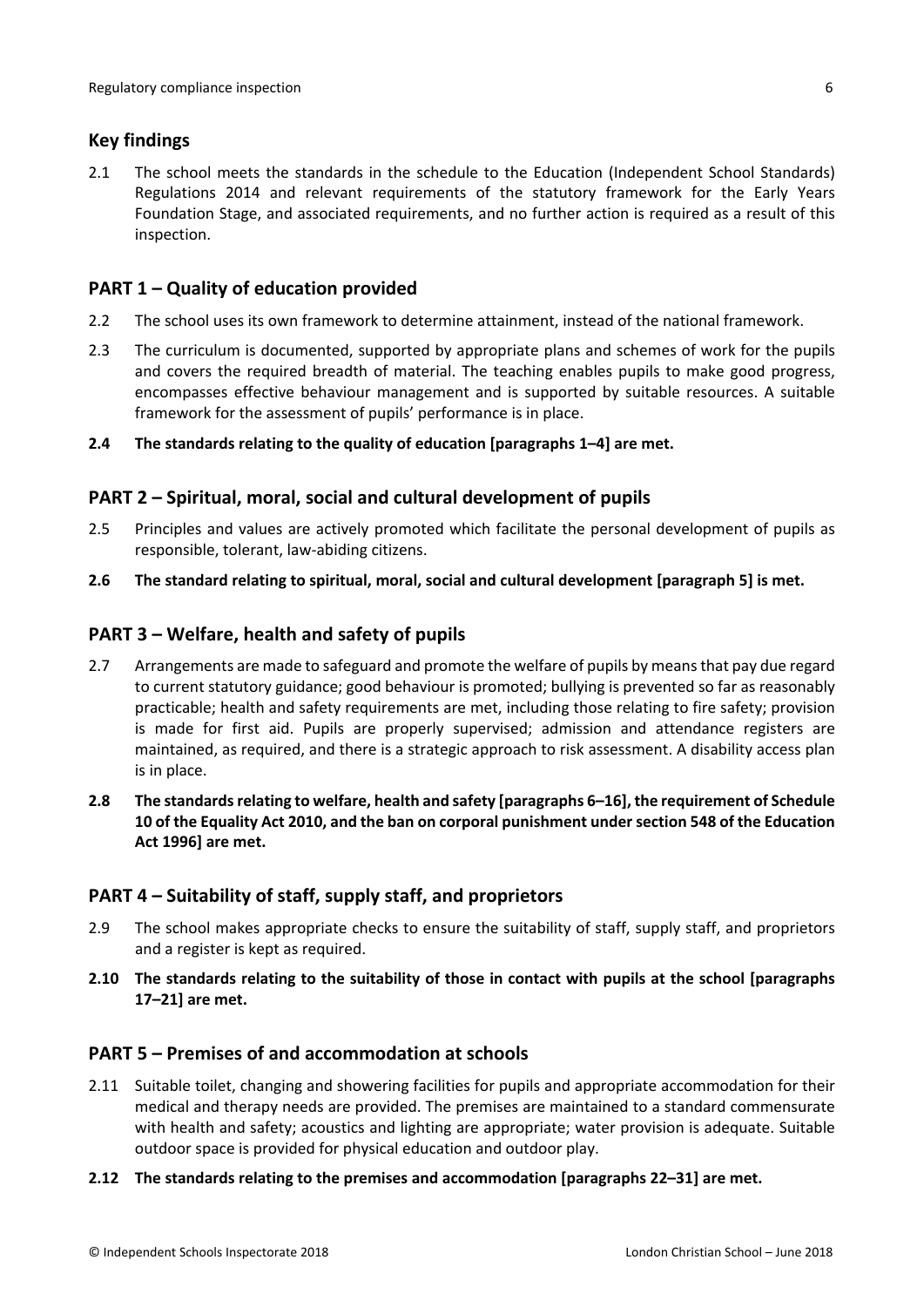### <span id="page-5-0"></span>**Key findings**

2.1 The school meets the standards in the schedule to the Education (Independent School Standards) Regulations 2014 and relevant requirements of the statutory framework for the Early Years Foundation Stage, and associated requirements, and no further action is required as a result of this inspection.

# <span id="page-5-1"></span>**PART 1 – Quality of education provided**

- 2.2 The school uses its own framework to determine attainment, instead of the national framework.
- 2.3 The curriculum is documented, supported by appropriate plans and schemes of work for the pupils and covers the required breadth of material. The teaching enables pupils to make good progress, encompasses effective behaviour management and is supported by suitable resources. A suitable framework for the assessment of pupils' performance is in place.
- **2.4 The standards relating to the quality of education [paragraphs 1–4] are met.**

#### <span id="page-5-2"></span>**PART 2 – Spiritual, moral, social and cultural development of pupils**

- 2.5 Principles and values are actively promoted which facilitate the personal development of pupils as responsible, tolerant, law-abiding citizens.
- **2.6 The standard relating to spiritual, moral, social and cultural development [paragraph 5] is met.**

#### <span id="page-5-3"></span>**PART 3 – Welfare, health and safety of pupils**

- 2.7 Arrangements are made to safeguard and promote the welfare of pupils by means that pay due regard to current statutory guidance; good behaviour is promoted; bullying is prevented so far as reasonably practicable; health and safety requirements are met, including those relating to fire safety; provision is made for first aid. Pupils are properly supervised; admission and attendance registers are maintained, as required, and there is a strategic approach to risk assessment. A disability access plan is in place.
- **2.8 The standardsrelating to welfare, health and safety [paragraphs 6–16], the requirement of Schedule 10 of the Equality Act 2010, and the ban on corporal punishment undersection 548 of the Education Act 1996] are met.**

#### <span id="page-5-4"></span>**PART 4 – Suitability of staff, supply staff, and proprietors**

- 2.9 The school makes appropriate checks to ensure the suitability of staff, supply staff, and proprietors and a register is kept as required.
- **2.10 The standards relating to the suitability of those in contact with pupils at the school [paragraphs 17–21] are met.**

#### <span id="page-5-5"></span>**PART 5 – Premises of and accommodation at schools**

- 2.11 Suitable toilet, changing and showering facilities for pupils and appropriate accommodation for their medical and therapy needs are provided. The premises are maintained to a standard commensurate with health and safety; acoustics and lighting are appropriate; water provision is adequate. Suitable outdoor space is provided for physical education and outdoor play.
- **2.12 The standards relating to the premises and accommodation [paragraphs 22–31] are met.**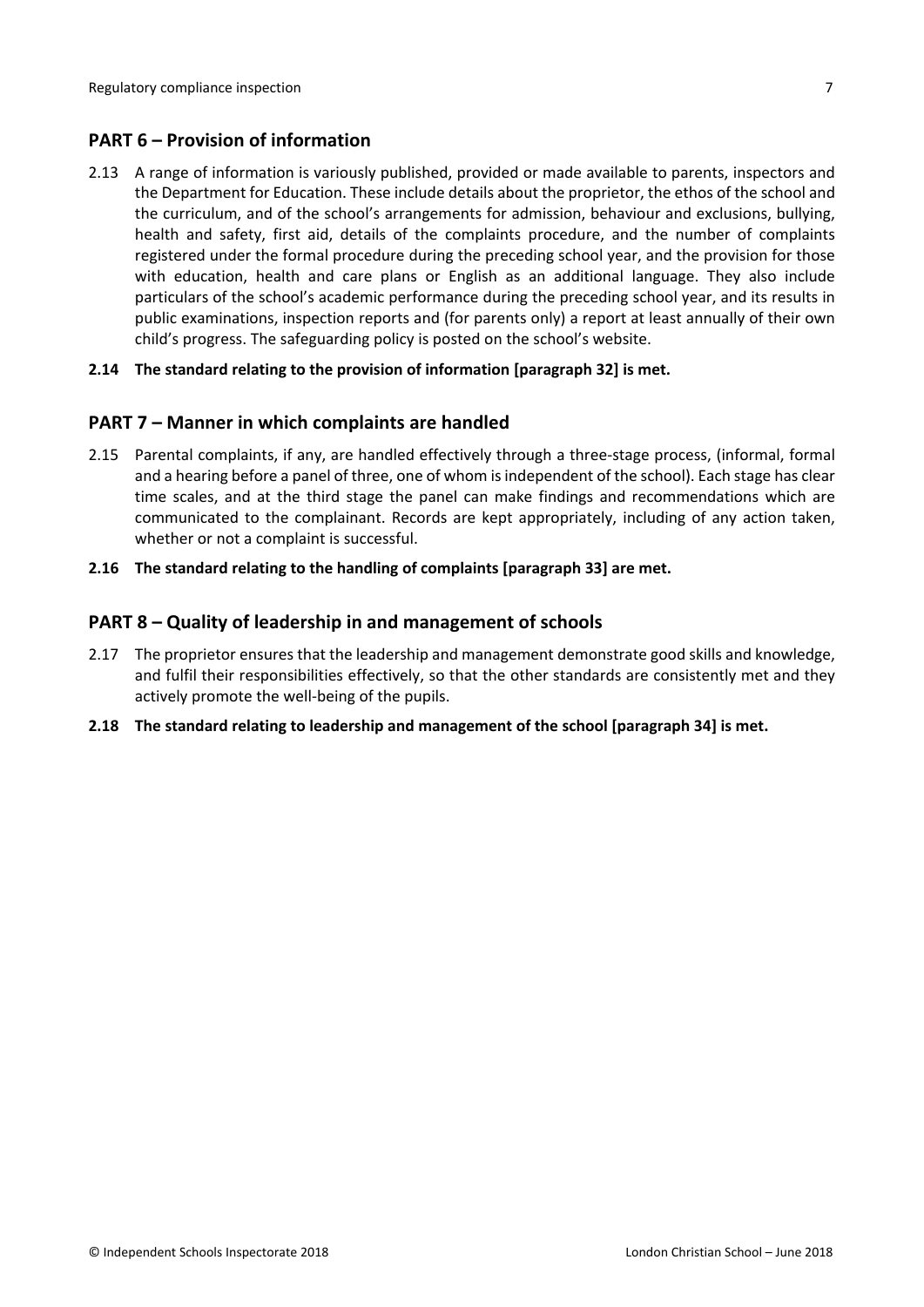### <span id="page-6-0"></span>**PART 6 – Provision of information**

2.13 A range of information is variously published, provided or made available to parents, inspectors and the Department for Education. These include details about the proprietor, the ethos of the school and the curriculum, and of the school's arrangements for admission, behaviour and exclusions, bullying, health and safety, first aid, details of the complaints procedure, and the number of complaints registered under the formal procedure during the preceding school year, and the provision for those with education, health and care plans or English as an additional language. They also include particulars of the school's academic performance during the preceding school year, and its results in public examinations, inspection reports and (for parents only) a report at least annually of their own child's progress. The safeguarding policy is posted on the school's website.

#### **2.14 The standard relating to the provision of information [paragraph 32] is met.**

#### <span id="page-6-1"></span>**PART 7 – Manner in which complaints are handled**

- 2.15 Parental complaints, if any, are handled effectively through a three-stage process, (informal, formal and a hearing before a panel of three, one of whom is independent of the school). Each stage has clear time scales, and at the third stage the panel can make findings and recommendations which are communicated to the complainant. Records are kept appropriately, including of any action taken, whether or not a complaint is successful.
- **2.16 The standard relating to the handling of complaints [paragraph 33] are met.**

#### <span id="page-6-2"></span>**PART 8 – Quality of leadership in and management of schools**

- 2.17 The proprietor ensures that the leadership and management demonstrate good skills and knowledge, and fulfil their responsibilities effectively, so that the other standards are consistently met and they actively promote the well-being of the pupils.
- **2.18 The standard relating to leadership and management of the school [paragraph 34] is met.**